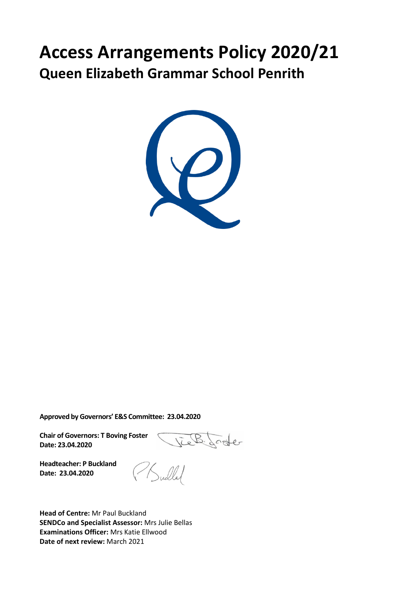# **Access Arrangements Policy 2020/21 Queen Elizabeth Grammar School Penrith**



**Approved by Governors' E&S Committee: 23.04.2020**

**Chair of Governors: T Boving Foster Date: 23.04.2020**

 $0$ ster

**Headteacher: P Buckland Date: 23.04.2020**

**Head of Centre:** Mr Paul Buckland **SENDCo and Specialist Assessor:** Mrs Julie Bellas **Examinations Officer:** Mrs Katie Ellwood **Date of next review:** March 2021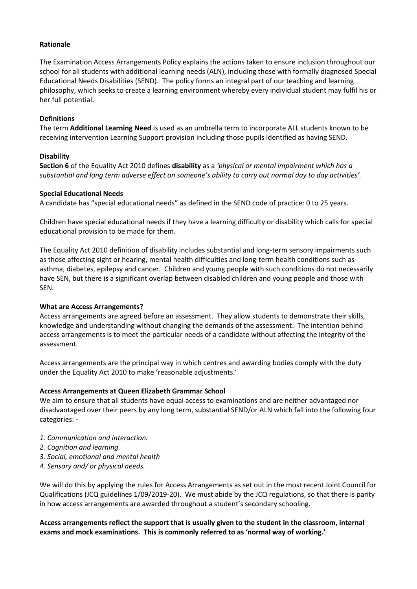### **Rationale**

The Examination Access Arrangements Policy explains the actions taken to ensure inclusion throughout our school for all students with additional learning needs (ALN), including those with formally diagnosed Special Educational Needs Disabilities (SEND). The policy forms an integral part of our teaching and learning philosophy, which seeks to create a learning environment whereby every individual student may fulfil his or her full potential.

### **Definitions**

The term **Additional Learning Need** is used as an umbrella term to incorporate ALL students known to be receiving intervention Learning Support provision including those pupils identified as having SEND.

## **Disability**

**Section 6** of the Equality Act 2010 defines **disability** as a *'physical or mental impairment which has a substantial and long term adverse effect on someone's ability to carry out normal day to day activities'.*

#### **Special Educational Needs**

A candidate has "special educational needs" as defined in the SEND code of practice: 0 to 25 years.

Children have special educational needs if they have a learning difficulty or disability which calls for special educational provision to be made for them.

The Equality Act 2010 definition of disability includes substantial and long-term sensory impairments such as those affecting sight or hearing, mental health difficulties and long-term health conditions such as asthma, diabetes, epilepsy and cancer. Children and young people with such conditions do not necessarily have SEN, but there is a significant overlap between disabled children and young people and those with SEN.

#### **What are Access Arrangements?**

Access arrangements are agreed before an assessment. They allow students to demonstrate their skills, knowledge and understanding without changing the demands of the assessment. The intention behind access arrangements is to meet the particular needs of a candidate without affecting the integrity of the assessment.

Access arrangements are the principal way in which centres and awarding bodies comply with the duty under the Equality Act 2010 to make 'reasonable adjustments.'

#### **Access Arrangements at Queen Elizabeth Grammar School**

We aim to ensure that all students have equal access to examinations and are neither advantaged nor disadvantaged over their peers by any long term, substantial SEND/or ALN which fall into the following four categories: -

- *1. Communication and interaction.*
- *2. Cognition and learning.*
- *3. Social, emotional and mental health*
- *4. Sensory and/ or physical needs.*

We will do this by applying the rules for Access Arrangements as set out in the most recent Joint Council for Qualifications (JCQ guidelines 1/09/2019-20). We must abide by the JCQ regulations, so that there is parity in how access arrangements are awarded throughout a student's secondary schooling.

**Access arrangements reflect the support that is usually given to the student in the classroom, internal exams and mock examinations. This is commonly referred to as 'normal way of working.'**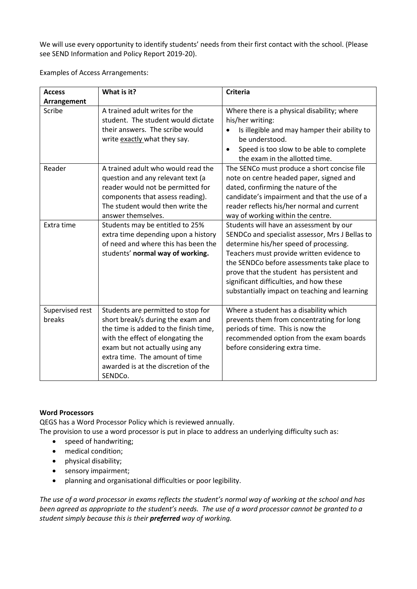We will use every opportunity to identify students' needs from their first contact with the school. (Please see SEND Information and Policy Report 2019-20).

Examples of Access Arrangements:

| <b>Access</b><br>Arrangement | What is it?                                                                                                                                                                                                                                                                  | <b>Criteria</b>                                                                                                                                                                                                                                                                                                                                                           |
|------------------------------|------------------------------------------------------------------------------------------------------------------------------------------------------------------------------------------------------------------------------------------------------------------------------|---------------------------------------------------------------------------------------------------------------------------------------------------------------------------------------------------------------------------------------------------------------------------------------------------------------------------------------------------------------------------|
| Scribe                       | A trained adult writes for the<br>student. The student would dictate<br>their answers. The scribe would<br>write exactly what they say.                                                                                                                                      | Where there is a physical disability; where<br>his/her writing:<br>Is illegible and may hamper their ability to<br>$\bullet$<br>be understood.<br>Speed is too slow to be able to complete<br>$\bullet$<br>the exam in the allotted time.                                                                                                                                 |
| Reader                       | A trained adult who would read the<br>question and any relevant text (a<br>reader would not be permitted for<br>components that assess reading).<br>The student would then write the<br>answer themselves.                                                                   | The SENCo must produce a short concise file<br>note on centre headed paper, signed and<br>dated, confirming the nature of the<br>candidate's impairment and that the use of a<br>reader reflects his/her normal and current<br>way of working within the centre.                                                                                                          |
| Extra time                   | Students may be entitled to 25%<br>extra time depending upon a history<br>of need and where this has been the<br>students' normal way of working.                                                                                                                            | Students will have an assessment by our<br>SENDCo and specialist assessor, Mrs J Bellas to<br>determine his/her speed of processing.<br>Teachers must provide written evidence to<br>the SENDCo before assessments take place to<br>prove that the student has persistent and<br>significant difficulties, and how these<br>substantially impact on teaching and learning |
| Supervised rest<br>breaks    | Students are permitted to stop for<br>short break/s during the exam and<br>the time is added to the finish time,<br>with the effect of elongating the<br>exam but not actually using any<br>extra time. The amount of time<br>awarded is at the discretion of the<br>SENDCo. | Where a student has a disability which<br>prevents them from concentrating for long<br>periods of time. This is now the<br>recommended option from the exam boards<br>before considering extra time.                                                                                                                                                                      |

# **Word Processors**

QEGS has a Word Processor Policy which is reviewed annually.

The provision to use a word processor is put in place to address an underlying difficulty such as:

- speed of handwriting;
- medical condition;
- physical disability;
- sensory impairment;
- planning and organisational difficulties or poor legibility.

*The use of a word processor in exams reflects the student's normal way of working at the school and has been agreed as appropriate to the student's needs. The use of a word processor cannot be granted to a student simply because this is their preferred way of working.*